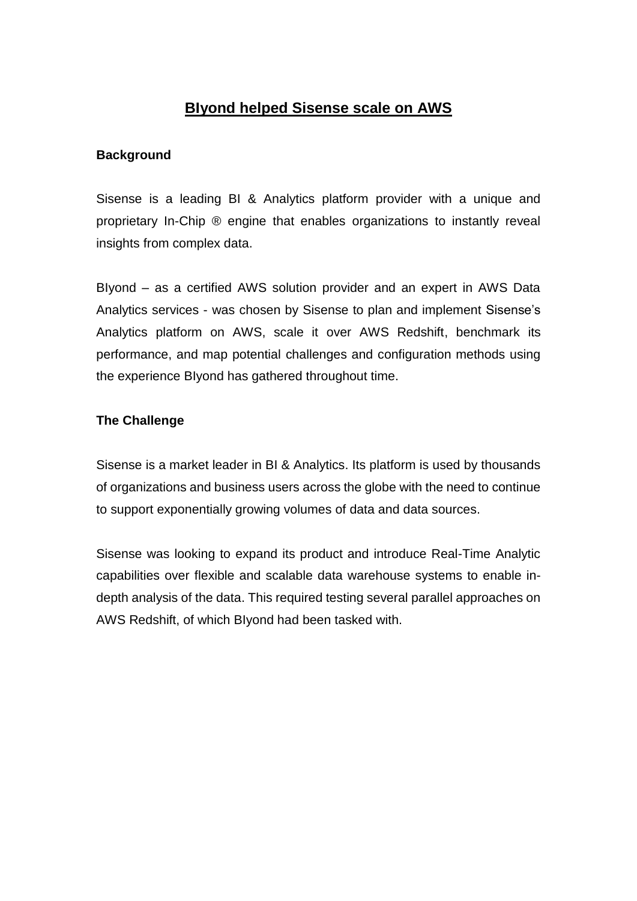# **BIyond helped Sisense scale on AWS**

#### **Background**

Sisense is a leading BI & Analytics platform provider with a unique and proprietary In-Chip ® engine that enables organizations to instantly reveal insights from complex data.

BIyond – as a certified AWS solution provider and an expert in AWS Data Analytics services - was chosen by Sisense to plan and implement Sisense's Analytics platform on AWS, scale it over AWS Redshift, benchmark its performance, and map potential challenges and configuration methods using the experience BIyond has gathered throughout time.

#### **The Challenge**

Sisense is a market leader in BI & Analytics. Its platform is used by thousands of organizations and business users across the globe with the need to continue to support exponentially growing volumes of data and data sources.

Sisense was looking to expand its product and introduce Real-Time Analytic capabilities over flexible and scalable data warehouse systems to enable indepth analysis of the data. This required testing several parallel approaches on AWS Redshift, of which BIyond had been tasked with.